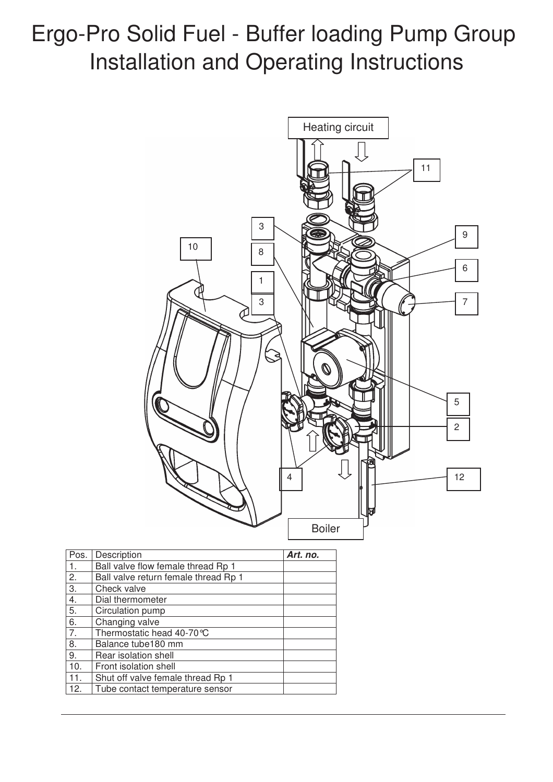# Ergo-Pro Solid Fuel - Buffer loading Pump Group Installation and Operating Instructions



| Pos. | Description                          | Art. no. |
|------|--------------------------------------|----------|
| 1.   | Ball valve flow female thread Rp 1   |          |
| 2.   | Ball valve return female thread Rp 1 |          |
| 3.   | Check valve                          |          |
| 4.   | Dial thermometer                     |          |
| 5.   | Circulation pump                     |          |
| 6.   | Changing valve                       |          |
| 7.   | Thermostatic head 40-70 °C           |          |
| 8.   | Balance tube180 mm                   |          |
| 9.   | Rear isolation shell                 |          |
| 10.  | Front isolation shell                |          |
| 11.  | Shut off valve female thread Rp 1    |          |
| 12.  | Tube contact temperature sensor      |          |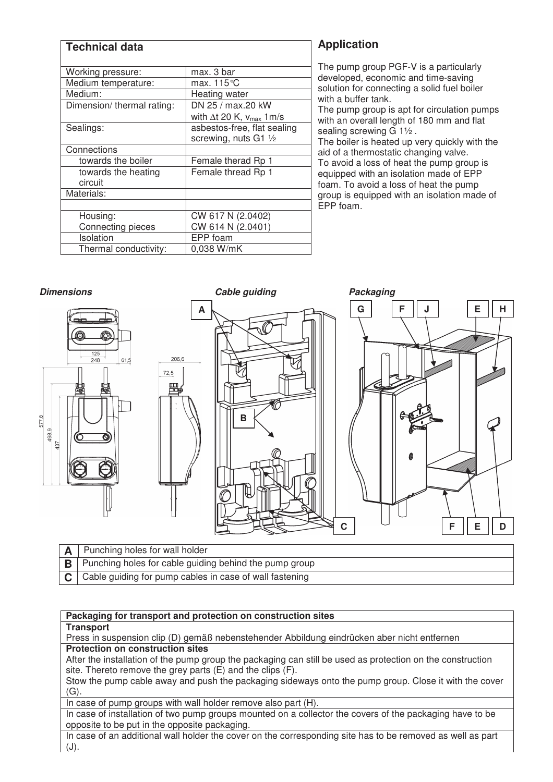| <b>Technical data</b>     |                                      |  |  |  |  |
|---------------------------|--------------------------------------|--|--|--|--|
| Working pressure:         | max. 3 bar                           |  |  |  |  |
| Medium temperature:       | max. 115 $\degree$ C                 |  |  |  |  |
| Medium:                   | Heating water                        |  |  |  |  |
| Dimension/thermal rating: | DN 25 / max.20 kW                    |  |  |  |  |
|                           | with $\Delta t$ 20 K, $v_{max}$ 1m/s |  |  |  |  |
| Sealings:                 | asbestos-free, flat sealing          |  |  |  |  |
|                           | screwing, nuts G1 1/2                |  |  |  |  |
| Connections               |                                      |  |  |  |  |
| towards the boiler        | Female therad Rp 1                   |  |  |  |  |
| towards the heating       | Female thread Rp 1                   |  |  |  |  |
| circuit                   |                                      |  |  |  |  |
| Materials:                |                                      |  |  |  |  |
|                           |                                      |  |  |  |  |
| Housing:                  | CW 617 N (2.0402)                    |  |  |  |  |
| Connecting pieces         | CW 614 N (2.0401)                    |  |  |  |  |
| Isolation                 | EPP foam                             |  |  |  |  |
| Thermal conductivity:     | 0,038 W/mK                           |  |  |  |  |

## **Application**

The pump group PGF-V is a particularly developed, economic and time-saving solution for connecting a solid fuel boiler with a buffer tank.

The pump group is apt for circulation pumps with an overall length of 180 mm and flat sealing screwing G 1½ .

The boiler is heated up very quickly with the aid of a thermostatic changing valve. To avoid a loss of heat the pump group is equipped with an isolation made of EPP foam. To avoid a loss of heat the pump group is equipped with an isolation made of EPP foam.



| A | Punching holes for wall holder                                         |
|---|------------------------------------------------------------------------|
|   | $\mathbf{B}$ Punching holes for cable guiding behind the pump group    |
|   | $\mathsf{C}$   Cable guiding for pump cables in case of wall fastening |

### **Packaging for transport and protection on construction sites**

#### **Transport**

Press in suspension clip (D) gemäß nebenstehender Abbildung eindrücken aber nicht entfernen **Protection on construction sites** 

After the installation of the pump group the packaging can still be used as protection on the construction site. Thereto remove the grey parts (E) and the clips (F).

Stow the pump cable away and push the packaging sideways onto the pump group. Close it with the cover  $(G)$ .

In case of pump groups with wall holder remove also part (H).

In case of installation of two pump groups mounted on a collector the covers of the packaging have to be opposite to be put in the opposite packaging.

In case of an additional wall holder the cover on the corresponding site has to be removed as well as part  $(J).$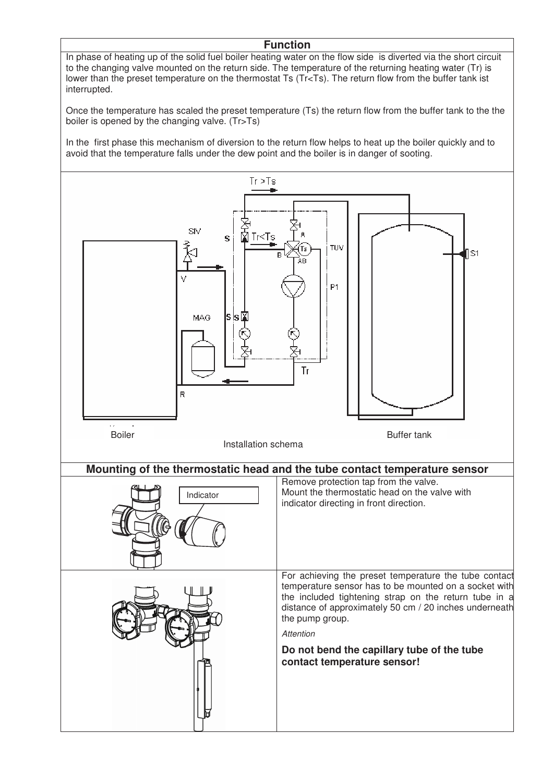### **Function**

In phase of heating up of the solid fuel boiler heating water on the flow side is diverted via the short circuit to the changing valve mounted on the return side. The temperature of the returning heating water (Tr) is lower than the preset temperature on the thermostat Ts (Tr<Ts). The return flow from the buffer tank ist interrupted.

Once the temperature has scaled the preset temperature (Ts) the return flow from the buffer tank to the the boiler is opened by the changing valve. (Tr>Ts)

In the first phase this mechanism of diversion to the return flow helps to heat up the boiler quickly and to avoid that the temperature falls under the dew point and the boiler is in danger of sooting.

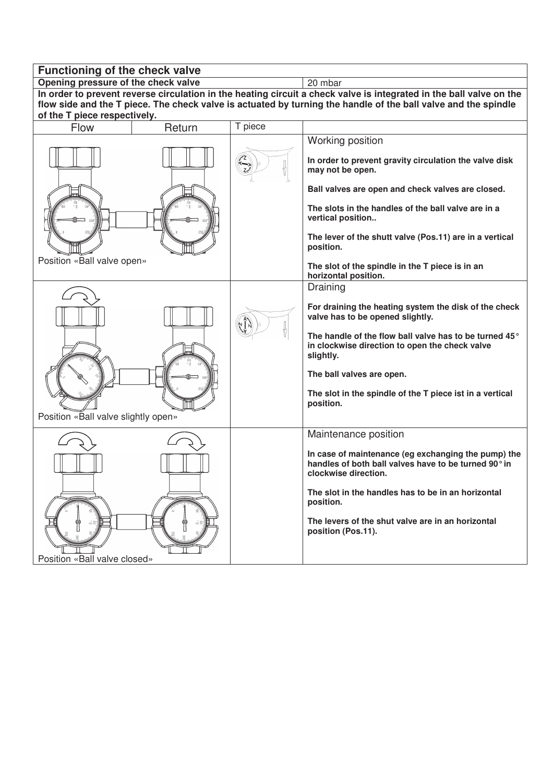| Functioning of the check valve                                                                                                                 |                                                                                                                     |                            |                                                                                                                                     |  |  |  |  |  |
|------------------------------------------------------------------------------------------------------------------------------------------------|---------------------------------------------------------------------------------------------------------------------|----------------------------|-------------------------------------------------------------------------------------------------------------------------------------|--|--|--|--|--|
| Opening pressure of the check valve                                                                                                            |                                                                                                                     |                            | 20 mbar                                                                                                                             |  |  |  |  |  |
|                                                                                                                                                | In order to prevent reverse circulation in the heating circuit a check valve is integrated in the ball valve on the |                            |                                                                                                                                     |  |  |  |  |  |
| flow side and the T piece. The check valve is actuated by turning the handle of the ball valve and the spindle<br>of the T piece respectively. |                                                                                                                     |                            |                                                                                                                                     |  |  |  |  |  |
| Flow                                                                                                                                           | Return                                                                                                              | T piece                    |                                                                                                                                     |  |  |  |  |  |
|                                                                                                                                                |                                                                                                                     |                            |                                                                                                                                     |  |  |  |  |  |
|                                                                                                                                                |                                                                                                                     |                            | Working position                                                                                                                    |  |  |  |  |  |
|                                                                                                                                                |                                                                                                                     | $\sum_{\alpha=1}^{\infty}$ | In order to prevent gravity circulation the valve disk<br>may not be open.                                                          |  |  |  |  |  |
|                                                                                                                                                |                                                                                                                     |                            | Ball valves are open and check valves are closed.                                                                                   |  |  |  |  |  |
|                                                                                                                                                |                                                                                                                     |                            | The slots in the handles of the ball valve are in a<br>vertical position                                                            |  |  |  |  |  |
|                                                                                                                                                |                                                                                                                     |                            | The lever of the shutt valve (Pos.11) are in a vertical<br>position.                                                                |  |  |  |  |  |
| Position «Ball valve open»                                                                                                                     |                                                                                                                     |                            | The slot of the spindle in the T piece is in an<br>horizontal position.                                                             |  |  |  |  |  |
|                                                                                                                                                |                                                                                                                     |                            | Draining                                                                                                                            |  |  |  |  |  |
|                                                                                                                                                |                                                                                                                     |                            | For draining the heating system the disk of the check<br>valve has to be opened slightly.                                           |  |  |  |  |  |
|                                                                                                                                                |                                                                                                                     |                            | The handle of the flow ball valve has to be turned 45°<br>in clockwise direction to open the check valve<br>slightly.               |  |  |  |  |  |
|                                                                                                                                                |                                                                                                                     |                            | The ball valves are open.                                                                                                           |  |  |  |  |  |
| Position «Ball valve slightly open»                                                                                                            |                                                                                                                     |                            | The slot in the spindle of the T piece ist in a vertical<br>position.                                                               |  |  |  |  |  |
|                                                                                                                                                |                                                                                                                     |                            | Maintenance position                                                                                                                |  |  |  |  |  |
|                                                                                                                                                |                                                                                                                     |                            | In case of maintenance (eg exchanging the pump) the<br>handles of both ball valves have to be turned 90° in<br>clockwise direction. |  |  |  |  |  |
|                                                                                                                                                |                                                                                                                     |                            | The slot in the handles has to be in an horizontal<br>position.                                                                     |  |  |  |  |  |
|                                                                                                                                                |                                                                                                                     |                            | The levers of the shut valve are in an horizontal<br>position (Pos.11).                                                             |  |  |  |  |  |
| Position «Ball valve closed»                                                                                                                   |                                                                                                                     |                            |                                                                                                                                     |  |  |  |  |  |